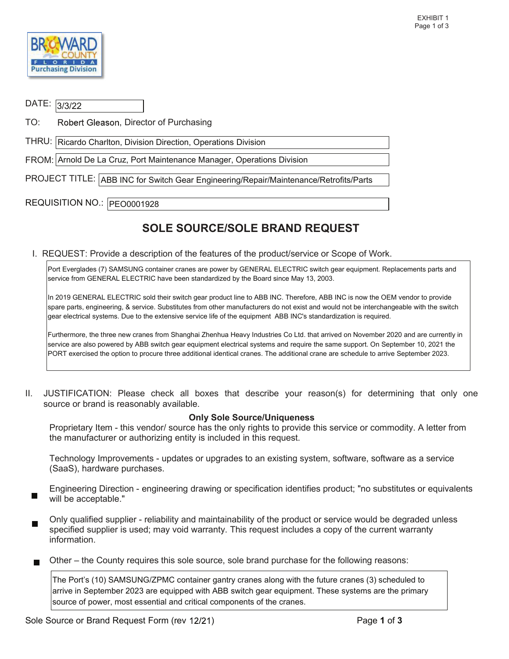

| DATE: 3/3/22                 |                                                                                       |  |  |  |  |
|------------------------------|---------------------------------------------------------------------------------------|--|--|--|--|
| TO:                          | Robert Gleason, Director of Purchasing                                                |  |  |  |  |
|                              | THRU:   Ricardo Charlton, Division Direction, Operations Division                     |  |  |  |  |
|                              | FROM: Arnold De La Cruz, Port Maintenance Manager, Operations Division                |  |  |  |  |
|                              | PROJECT TITLE: ABB INC for Switch Gear Engineering/Repair/Maintenance/Retrofits/Parts |  |  |  |  |
| REQUISITION NO.:  PEO0001928 |                                                                                       |  |  |  |  |

## SOLE SOURCE/SOLE BRAND REQUEST

I. REQUEST: Provide a description of the features of the product/service or Scope of Work.

 Port Everglades (7) SAMSUNG container cranes are power by GENERAL ELECTRIC switch gear equipment. Replacements parts and service from GENERAL ELECTRIC have been standardized by the Board since May 13, 2003.

 In 2019 GENERAL ELECTRIC sold their switch gear product line to ABB INC. Therefore, ABB INC is now the OEM vendor to provide spare parts, engineering, & service. Substitutes from other manufacturers do not exist and would not be interchangeable with the switch gear electrical systems. Due to the extensive service life of the equipment ABB INC's standardization is required.

 Furthermore, the three new cranes from Shanghai Zhenhua Heavy Industries Co Ltd. that arrived on November 2020 and are currently in service are also powered by ABB switch gear equipment electrical systems and require the same support. On September 10, 2021 the PORT exercised the option to procure three additional identical cranes. The additional crane are schedule to arrive September 2023.

 II. JUSTIFICATION: Please check all boxes that describe your reason(s) for determining that only one source or brand is reasonably available.

## Only Sole Source/Uniqueness

 Proprietary Item - this vendor/ source has the only rights to provide this service or commodity. A letter from the manufacturer or authorizing entity is included in this request.

(SaaS), hardware purchases. Technology Improvements - updates or upgrades to an existing system, software, software as a service

Engineering Direction - engineering drawing or specification identifies product; "no substitutes or equivalents will be acceptable."

 Only qualified supplier - reliability and maintainability of the product or service would be degraded unless specified supplier is used; may void warranty. This request includes a copy of the current warranty information.

Other – the County requires this sole source, sole brand purchase for the following reasons:

The Port's (10) SAMSUNG/ZPMC container gantry cranes along with the future cranes (3) scheduled to arrive in September 2023 are equipped with ABB switch gear equipment. These systems are the primary source of power, most essential and critical components of the cranes.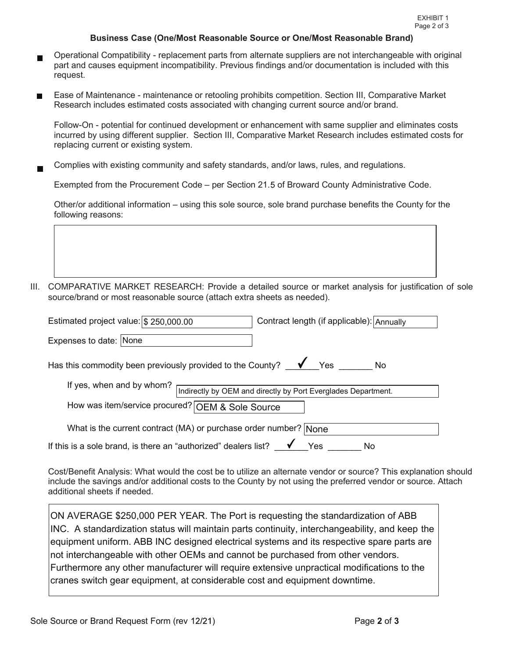## Business Case (One/Most Reasonable Source or One/Most Reasonable Brand)

- Operational Compatibility replacement parts from alternate suppliers are not interchangeable with original part and causes equipment incompatibility. Previous findings and/or documentation is included with this request.
- request.<br>Ease of Maintenance maintenance or retooling prohibits competition. Section III, Comparative Market Research includes estimated costs associated with changing current source and/or brand.

 Follow-On - potential for continued development or enhancement with same supplier and eliminates costs incurred by using different supplier. Section III, Comparative Market Research includes estimated costs for replacing current or existing system.

Complies with existing community and safety standards, and/or laws, rules, and regulations.

Exempted from the Procurement Code – per Section 21.5 of Broward County Administrative Code.

 Other/or additional information – using this sole source, sole brand purchase benefits the County for the following reasons:

III. COMPARATIVE MARKET RESEARCH: Provide a detailed source or market analysis for justification of sole source/brand or most reasonable source (attach extra sheets as needed).

| Estimated project value: \$ 250,000.00                                                     | Contract length (if applicable): Annually |  |  |  |  |
|--------------------------------------------------------------------------------------------|-------------------------------------------|--|--|--|--|
| Expenses to date: None                                                                     |                                           |  |  |  |  |
| $\sqrt{ }$ Yes<br>Has this commodity been previously provided to the County?<br>No         |                                           |  |  |  |  |
| If yes, when and by whom?<br>Indirectly by OEM and directly by Port Everglades Department. |                                           |  |  |  |  |
| How was item/service procured? OEM & Sole Source                                           |                                           |  |  |  |  |
| What is the current contract (MA) or purchase order number? None                           |                                           |  |  |  |  |
| If this is a sole brand, is there an "authorized" dealers list?                            | Yes<br>No                                 |  |  |  |  |

 additional sheets if needed. Cost/Benefit Analysis: What would the cost be to utilize an alternate vendor or source? This explanation should include the savings and/or additional costs to the County by not using the preferred vendor or source. Attach

 INC. A standardization status will maintain parts continuity, interchangeability, and keep the ON AVERAGE \$250,000 PER YEAR. The Port is requesting the standardization of ABB equipment uniform. ABB INC designed electrical systems and its respective spare parts are not interchangeable with other OEMs and cannot be purchased from other vendors. Furthermore any other manufacturer will require extensive unpractical modifications to the cranes switch gear equipment, at considerable cost and equipment downtime.